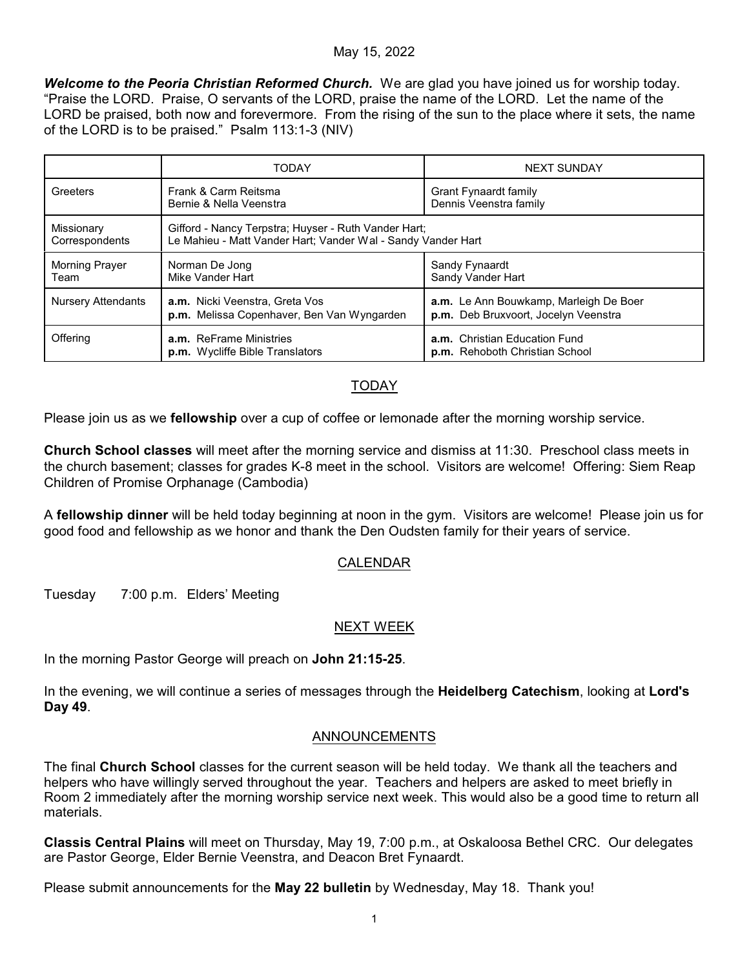### May 15, 2022

*Welcome to the Peoria Christian Reformed Church.* We are glad you have joined us for worship today. "Praise the LORD. Praise, O servants of the LORD, praise the name of the LORD. Let the name of the LORD be praised, both now and forevermore. From the rising of the sun to the place where it sets, the name of the LORD is to be praised." Psalm 113:1-3 (NIV)

|                              | <b>TODAY</b>                                                                                                         | <b>NEXT SUNDAY</b>                                                             |
|------------------------------|----------------------------------------------------------------------------------------------------------------------|--------------------------------------------------------------------------------|
| Greeters                     | Frank & Carm Reitsma<br>Bernie & Nella Veenstra                                                                      | Grant Fynaardt family<br>Dennis Veenstra family                                |
| Missionary<br>Correspondents | Gifford - Nancy Terpstra; Huyser - Ruth Vander Hart;<br>Le Mahieu - Matt Vander Hart; Vander Wal - Sandy Vander Hart |                                                                                |
| Morning Prayer<br>Team       | Norman De Jong<br>Mike Vander Hart                                                                                   | Sandy Fynaardt<br>Sandy Vander Hart                                            |
| Nursery Attendants           | a.m. Nicki Veenstra, Greta Vos<br>p.m. Melissa Copenhaver, Ben Van Wyngarden                                         | a.m. Le Ann Bouwkamp, Marleigh De Boer<br>p.m. Deb Bruxvoort, Jocelyn Veenstra |
| Offering                     | a.m. ReFrame Ministries<br>p.m. Wycliffe Bible Translators                                                           | a.m. Christian Education Fund<br>p.m. Rehoboth Christian School                |

# TODAY

Please join us as we **fellowship** over a cup of coffee or lemonade after the morning worship service.

**Church School classes** will meet after the morning service and dismiss at 11:30. Preschool class meets in the church basement; classes for grades K-8 meet in the school. Visitors are welcome! Offering: Siem Reap Children of Promise Orphanage (Cambodia)

A **fellowship dinner** will be held today beginning at noon in the gym. Visitors are welcome! Please join us for good food and fellowship as we honor and thank the Den Oudsten family for their years of service.

## CALENDAR

Tuesday 7:00 p.m. Elders' Meeting

## NEXT WEEK

In the morning Pastor George will preach on **John 21:15-25**.

In the evening, we will continue a series of messages through the **Heidelberg Catechism**, looking at **Lord's Day 49**.

## ANNOUNCEMENTS

The final **Church School** classes for the current season will be held today. We thank all the teachers and helpers who have willingly served throughout the year. Teachers and helpers are asked to meet briefly in Room 2 immediately after the morning worship service next week. This would also be a good time to return all materials.

**Classis Central Plains** will meet on Thursday, May 19, 7:00 p.m., at Oskaloosa Bethel CRC. Our delegates are Pastor George, Elder Bernie Veenstra, and Deacon Bret Fynaardt.

Please submit announcements for the **May 22 bulletin** by Wednesday, May 18. Thank you!